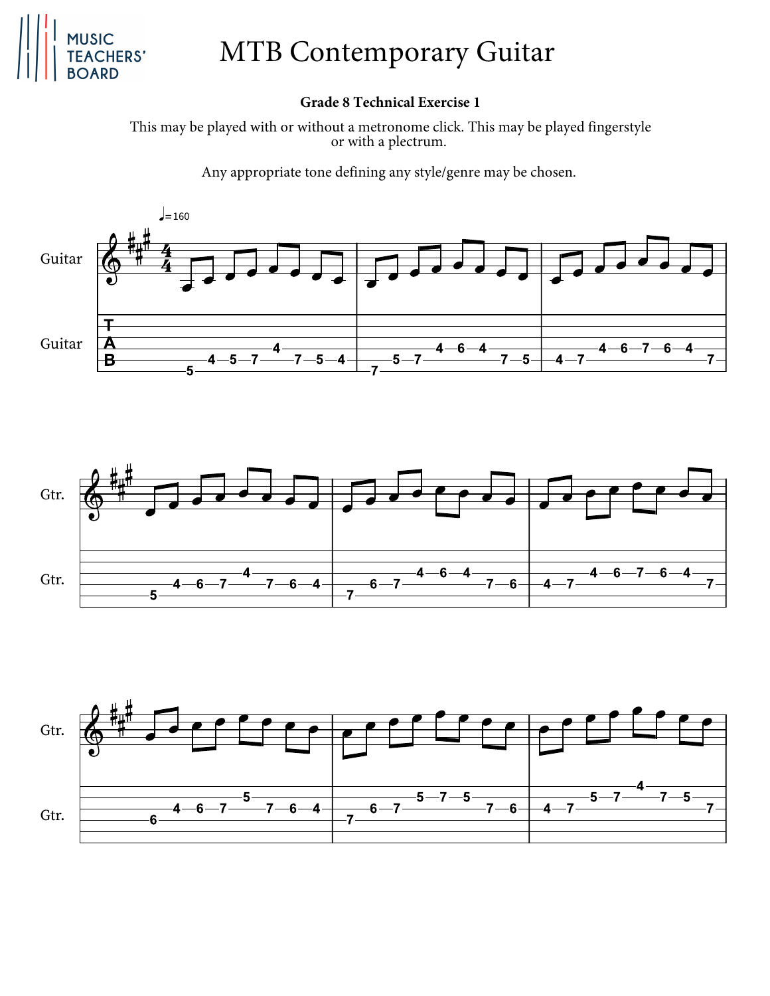

# MTB Contemporary Guitar

#### **Grade 8 Technical Exercise 1**

 This may be played with or without a metronome click. This may be played fingerstyle or with a plectrum.

Any appropriate tone defining any style/genre may be chosen.





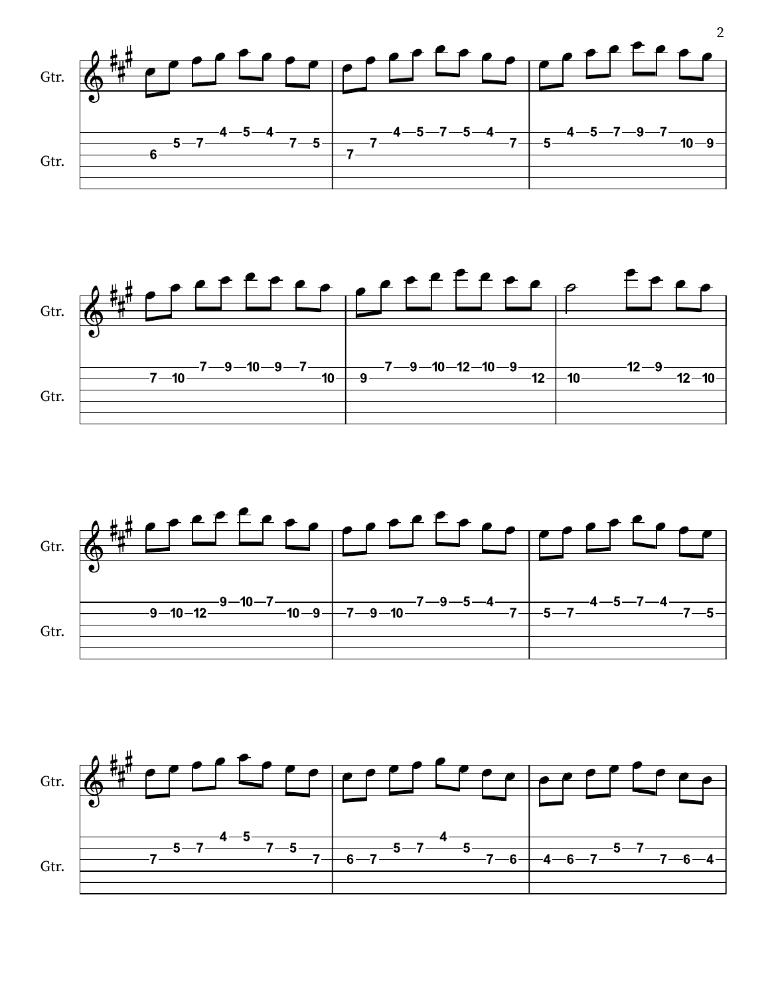





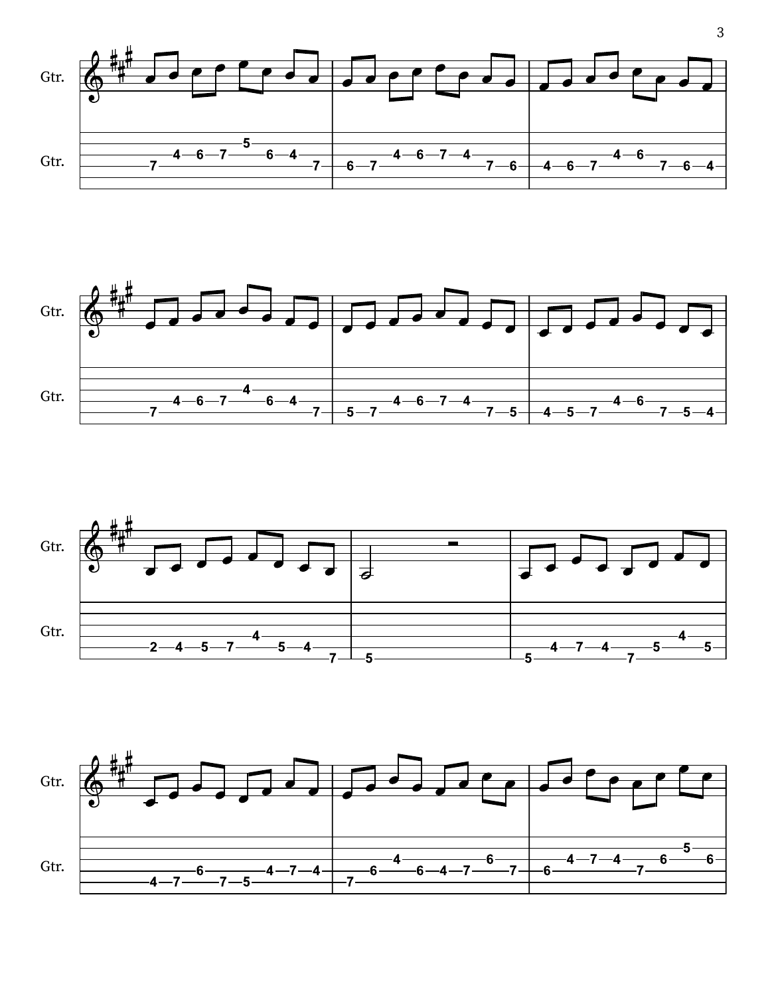





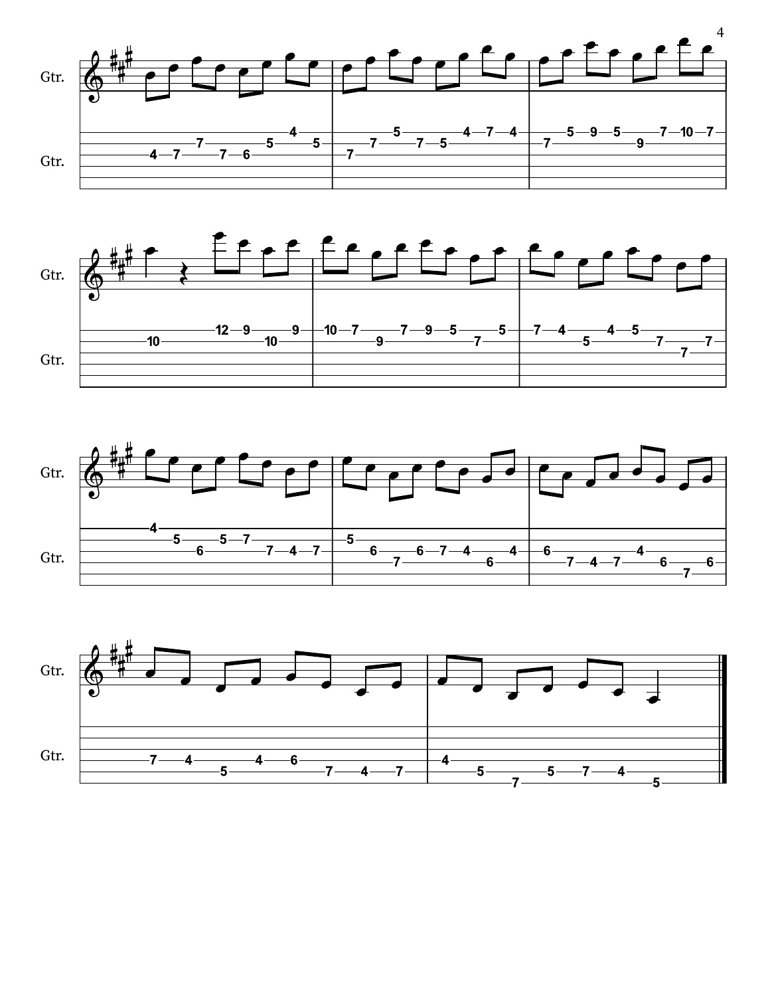







4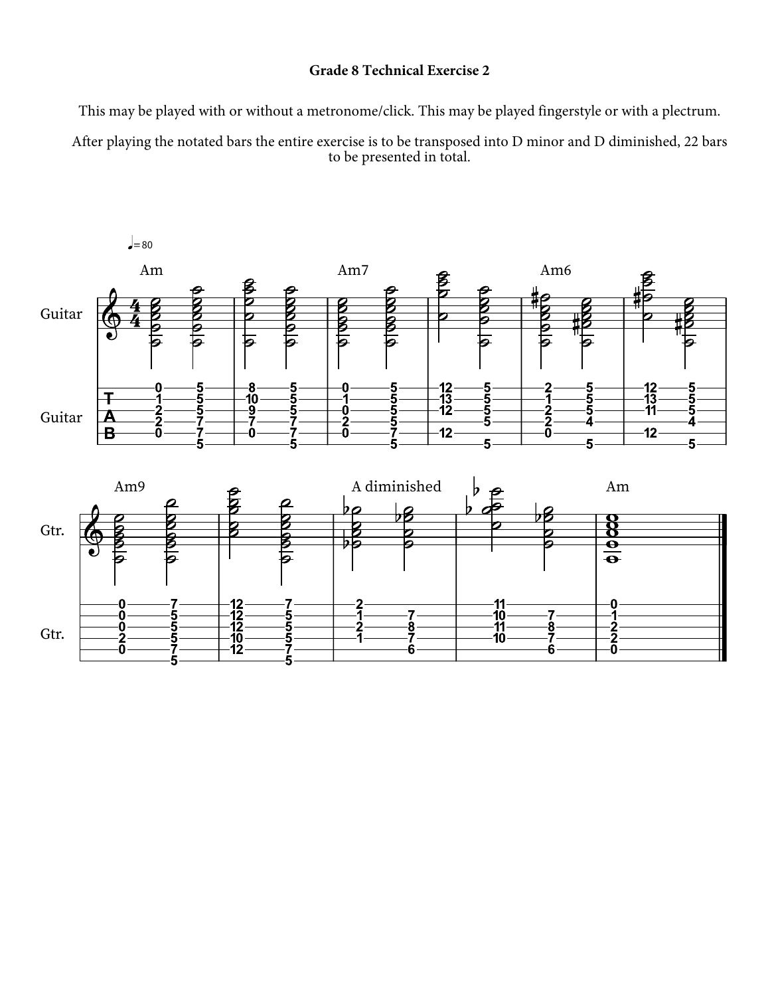### **Grade 8 Technical Exercise 2**

This may be played with or without a metronome/click. This may be played fingerstyle or with a plectrum. After playing the notated bars the entire exercise is to be transposed into D minor and D diminished, 22 bars to be presented in total.

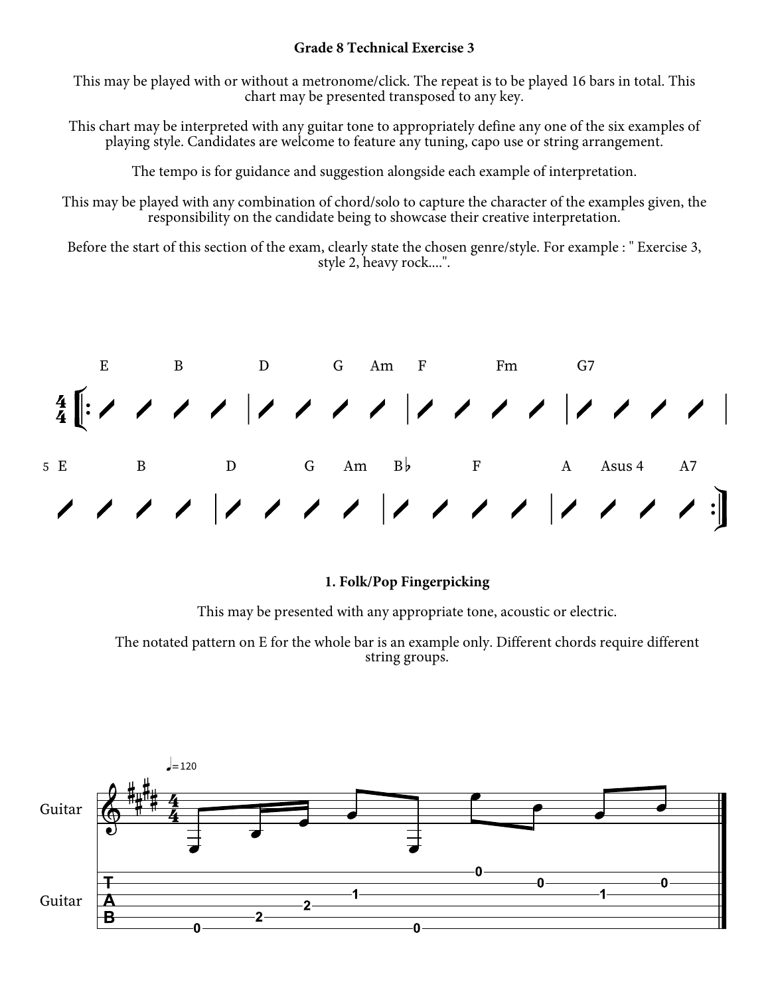#### **Grade 8 Technical Exercise 3**

This may be played with or without a metronome/click. The repeat is to be played 16 bars in total. This chart may be presented transposed to any key.

This chart may be interpreted with any guitar tone to appropriately define any one of the six examples of playing style. Candidates are welcome to feature any tuning, capo use or string arrangement.

The tempo is for guidance and suggestion alongside each example of interpretation.

This may be played with any combination of chord/solo to capture the character of the examples given, the responsibility on the candidate being to showcase their creative interpretation.

Before the start of this section of the exam, clearly state the chosen genre/style. For example : " Exercise 3, style 2, heavy rock....".



#### **1. Folk/Pop Fingerpicking**

This may be presented with any appropriate tone, acoustic or electric.

The notated pattern on E for the whole bar is an example only. Different chords require different string groups.

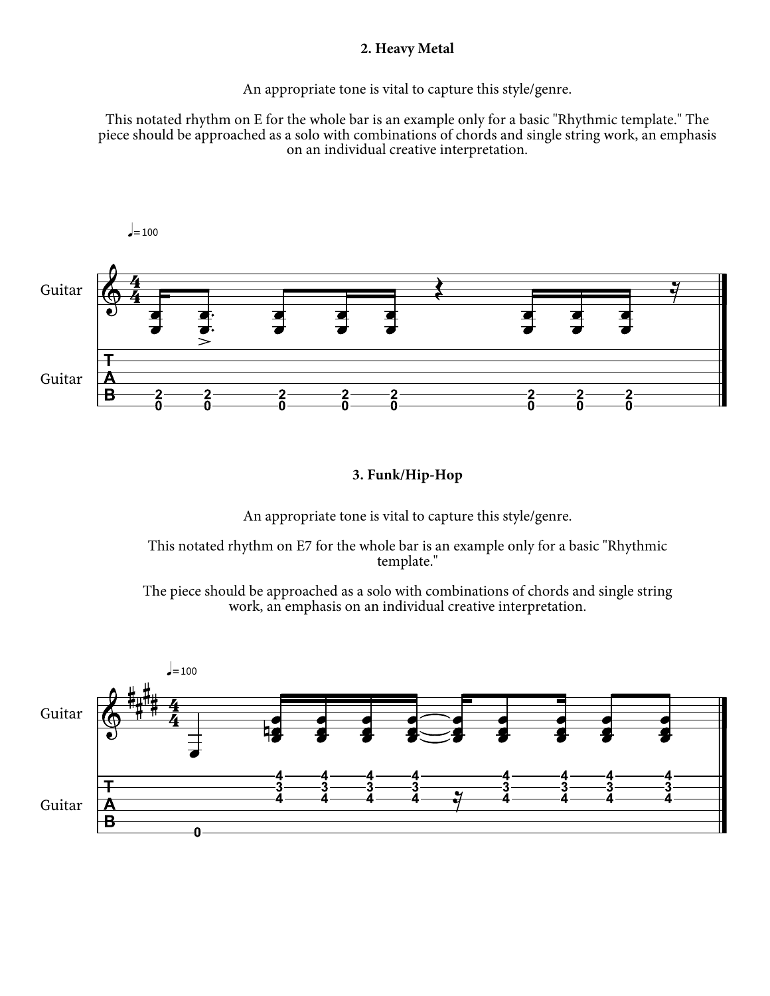#### **2. Heavy Metal**

An appropriate tone is vital to capture this style/genre.

This notated rhythm on E for the whole bar is an example only for a basic "Rhythmic template." The piece should be approached as a solo with combinations of chords and single string work, an emphasis on an individual creative interpretation.



#### **3. Funk/Hip-Hop**

An appropriate tone is vital to capture this style/genre.

This notated rhythm on E7 for the whole bar is an example only for a basic "Rhythmic template."

The piece should be approached as a solo with combinations of chords and single string work, an emphasis on an individual creative interpretation.

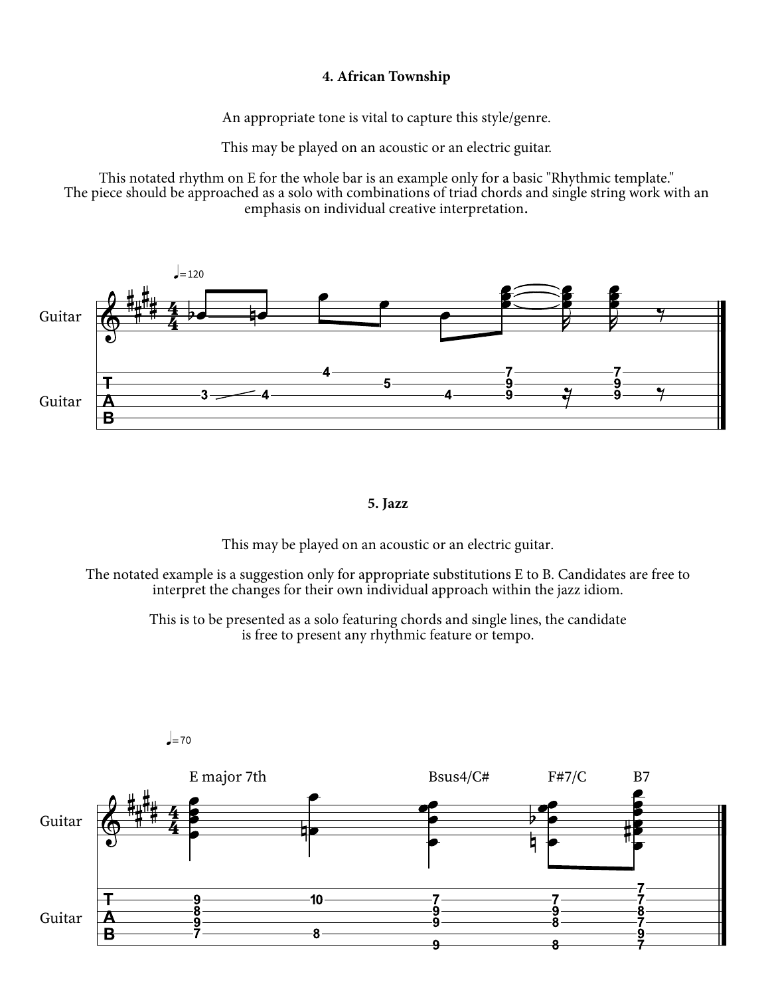#### **4. African Township**

An appropriate tone is vital to capture this style/genre.

This may be played on an acoustic or an electric guitar.

This notated rhythm on E for the whole bar is an example only for a basic "Rhythmic template." The piece should be approached as a solo with combinations of triad chords and single string work with an emphasis on individual creative interpretation.





This may be played on an acoustic or an electric guitar.

The notated example is a suggestion only for appropriate substitutions E to B. Candidates are free to interpret the changes for their own individual approach within the jazz idiom.

> This is to be presented as a solo featuring chords and single lines, the candidate is free to present any rhythmic feature or tempo.



 $\vert$ =70